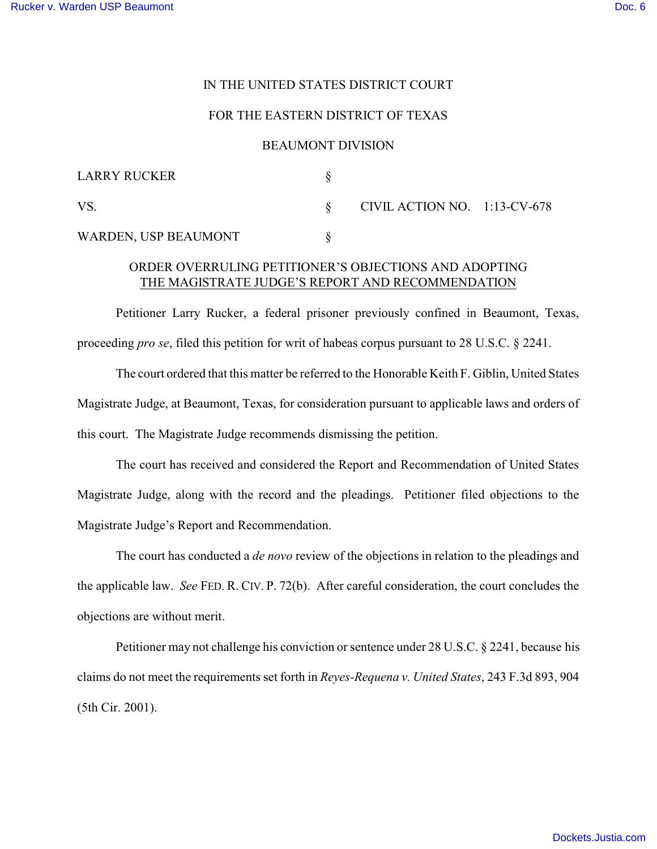## IN THE UNITED STATES DISTRICT COURT

## FOR THE EASTERN DISTRICT OF TEXAS

#### BEAUMONT DIVISION

| <b>LARRY RUCKER</b>  |                                 |  |
|----------------------|---------------------------------|--|
| VS.                  | CIVIL ACTION NO. $1:13$ -CV-678 |  |
| WARDEN, USP BEAUMONT |                                 |  |

# ORDER OVERRULING PETITIONER'S OBJECTIONS AND ADOPTING THE MAGISTRATE JUDGE'S REPORT AND RECOMMENDATION

Petitioner Larry Rucker, a federal prisoner previously confined in Beaumont, Texas, proceeding *pro se*, filed this petition for writ of habeas corpus pursuant to 28 U.S.C. § 2241.

The court ordered that this matter be referred to the Honorable Keith F. Giblin, United States Magistrate Judge, at Beaumont, Texas, for consideration pursuant to applicable laws and orders of this court. The Magistrate Judge recommends dismissing the petition.

The court has received and considered the Report and Recommendation of United States Magistrate Judge, along with the record and the pleadings. Petitioner filed objections to the Magistrate Judge's Report and Recommendation.

The court has conducted a *de novo* review of the objections in relation to the pleadings and the applicable law. *See* FED. R. CIV. P. 72(b). After careful consideration, the court concludes the objections are without merit.

Petitioner may not challenge his conviction or sentence under 28 U.S.C. § 2241, because his claims do not meet the requirements set forth in *Reyes-Requena v. United States*, 243 F.3d 893, 904 (5th Cir. 2001).